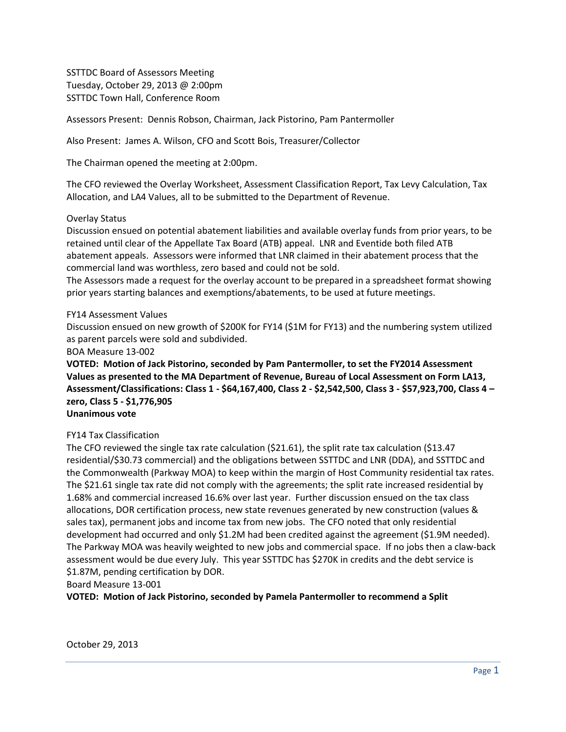SSTTDC Board of Assessors Meeting Tuesday, October 29, 2013 @ 2:00pm SSTTDC Town Hall, Conference Room

Assessors Present: Dennis Robson, Chairman, Jack Pistorino, Pam Pantermoller

Also Present: James A. Wilson, CFO and Scott Bois, Treasurer/Collector

The Chairman opened the meeting at 2:00pm.

The CFO reviewed the Overlay Worksheet, Assessment Classification Report, Tax Levy Calculation, Tax Allocation, and LA4 Values, all to be submitted to the Department of Revenue.

### Overlay Status

Discussion ensued on potential abatement liabilities and available overlay funds from prior years, to be retained until clear of the Appellate Tax Board (ATB) appeal. LNR and Eventide both filed ATB abatement appeals. Assessors were informed that LNR claimed in their abatement process that the commercial land was worthless, zero based and could not be sold.

The Assessors made a request for the overlay account to be prepared in a spreadsheet format showing prior years starting balances and exemptions/abatements, to be used at future meetings.

### FY14 Assessment Values

Discussion ensued on new growth of \$200K for FY14 (\$1M for FY13) and the numbering system utilized as parent parcels were sold and subdivided.

BOA Measure 13-002

**VOTED: Motion of Jack Pistorino, seconded by Pam Pantermoller, to set the FY2014 Assessment Values as presented to the MA Department of Revenue, Bureau of Local Assessment on Form LA13, Assessment/Classifications: Class 1 - \$64,167,400, Class 2 - \$2,542,500, Class 3 - \$57,923,700, Class 4 – zero, Class 5 - \$1,776,905**

# **Unanimous vote**

### FY14 Tax Classification

The CFO reviewed the single tax rate calculation (\$21.61), the split rate tax calculation (\$13.47 residential/\$30.73 commercial) and the obligations between SSTTDC and LNR (DDA), and SSTTDC and the Commonwealth (Parkway MOA) to keep within the margin of Host Community residential tax rates. The \$21.61 single tax rate did not comply with the agreements; the split rate increased residential by 1.68% and commercial increased 16.6% over last year. Further discussion ensued on the tax class allocations, DOR certification process, new state revenues generated by new construction (values & sales tax), permanent jobs and income tax from new jobs. The CFO noted that only residential development had occurred and only \$1.2M had been credited against the agreement (\$1.9M needed). The Parkway MOA was heavily weighted to new jobs and commercial space. If no jobs then a claw-back assessment would be due every July. This year SSTTDC has \$270K in credits and the debt service is \$1.87M, pending certification by DOR.

Board Measure 13-001

**VOTED: Motion of Jack Pistorino, seconded by Pamela Pantermoller to recommend a Split**